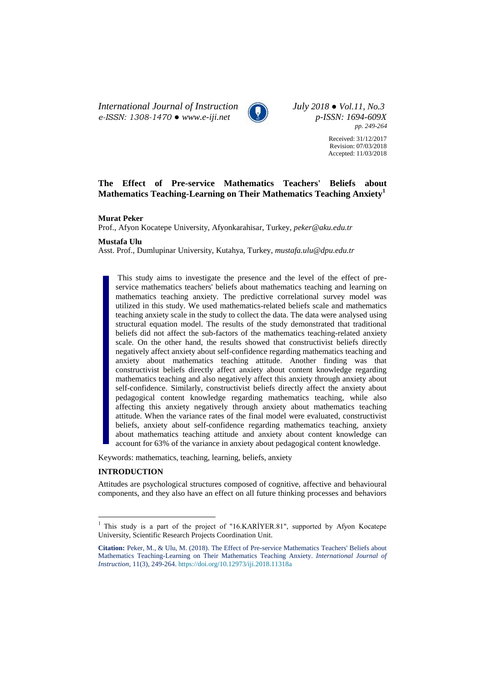*International Journal of Instruction July 2018 ● Vol.11, No.3 e-ISSN: 1308-1470 ● [www.e-iji.net](http://www.e-iji.net/) p-ISSN: 1694-609X*



*pp. 249-264*

Received: 31/12/2017 Revision: 07/03/2018 Accepted: 11/03/2018

# **The Effect of Pre-service Mathematics Teachers' Beliefs about Mathematics Teaching-Learning on Their Mathematics Teaching Anxiety<sup>1</sup>**

### **Murat Peker**

Prof., Afyon Kocatepe University, Afyonkarahisar, Turkey, *peker@aku.edu.tr*

#### **Mustafa Ulu**

Asst. Prof., Dumlupinar University, Kutahya, Turkey, *mustafa.ulu@dpu.edu.tr*

This study aims to investigate the presence and the level of the effect of preservice mathematics teachers' beliefs about mathematics teaching and learning on mathematics teaching anxiety. The predictive correlational survey model was utilized in this study. We used mathematics-related beliefs scale and mathematics teaching anxiety scale in the study to collect the data. The data were analysed using structural equation model. The results of the study demonstrated that traditional beliefs did not affect the sub-factors of the mathematics teaching-related anxiety scale. On the other hand, the results showed that constructivist beliefs directly negatively affect anxiety about self-confidence regarding mathematics teaching and anxiety about mathematics teaching attitude. Another finding was that constructivist beliefs directly affect anxiety about content knowledge regarding mathematics teaching and also negatively affect this anxiety through anxiety about self-confidence. Similarly, constructivist beliefs directly affect the anxiety about pedagogical content knowledge regarding mathematics teaching, while also affecting this anxiety negatively through anxiety about mathematics teaching attitude. When the variance rates of the final model were evaluated, constructivist beliefs, anxiety about self-confidence regarding mathematics teaching, anxiety about mathematics teaching attitude and anxiety about content knowledge can account for 63% of the variance in anxiety about pedagogical content knowledge.

Keywords: mathematics, teaching, learning, beliefs, anxiety

## **INTRODUCTION**

 $\overline{a}$ 

Attitudes are psychological structures composed of cognitive, affective and behavioural components, and they also have an effect on all future thinking processes and behaviors

<sup>&</sup>lt;sup>1</sup> This study is a part of the project of "16.KARİYER.81", supported by Afyon Kocatepe University, Scientific Research Projects Coordination Unit.

**Citation:** Peker, M., & Ulu, M. (2018). The Effect of Pre-service Mathematics Teachers' Beliefs about Mathematics Teaching-Learning on Their Mathematics Teaching Anxiety. *International Journal of Instruction*, 11(3), 249-264. <https://doi.org/10.12973/iji.2018.11318a>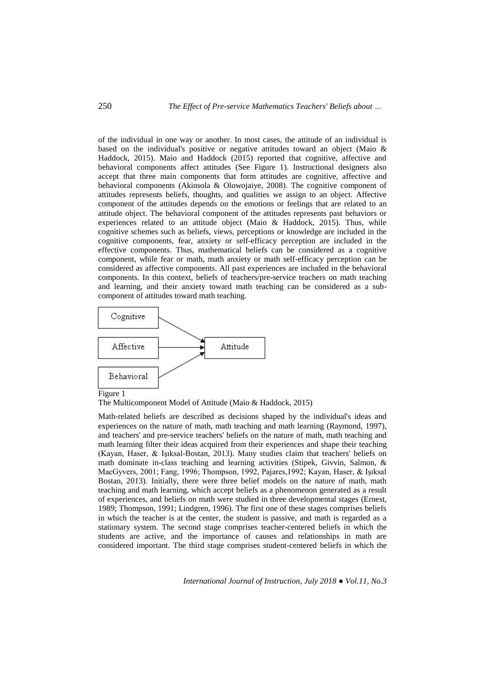of the individual in one way or another. In most cases, the attitude of an individual is based on the individual's positive or negative attitudes toward an object (Maio & Haddock, 2015). Maio and Haddock (2015) reported that cognitive, affective and behavioral components affect attitudes (See Figure 1). Instructional designers also accept that three main components that form attitudes are cognitive, affective and behavioral components (Akinsola & Olowojaiye, 2008). The cognitive component of attitudes represents beliefs, thoughts, and qualities we assign to an object. Affective component of the attitudes depends on the emotions or feelings that are related to an attitude object. The behavioral component of the attitudes represents past behaviors or experiences related to an attitude object (Maio & Haddock, 2015). Thus, while cognitive schemes such as beliefs, views, perceptions or knowledge are included in the cognitive components, fear, anxiety or self-efficacy perception are included in the effective components. Thus, mathematical beliefs can be considered as a cognitive component, while fear or math, math anxiety or math self-efficacy perception can be considered as affective components. All past experiences are included in the behavioral components. In this context, beliefs of teachers/pre-service teachers on math teaching and learning, and their anxiety toward math teaching can be considered as a subcomponent of attitudes toward math teaching.



Figure 1

The Multicomponent Model of Attitude (Maio & Haddock, 2015)

Math-related beliefs are described as decisions shaped by the individual's ideas and experiences on the nature of math, math teaching and math learning (Raymond, 1997), and teachers' and pre-service teachers' beliefs on the nature of math, math teaching and math learning filter their ideas acquired from their experiences and shape their teaching (Kayan, Haser, & Işıksal-Bostan, 2013). Many studies claim that teachers' beliefs on math dominate in-class teaching and learning activities (Stipek, Givvin, Salmon, & MacGyvers, 2001; Fang, 1996; Thompson, 1992, Pajares,1992; Kayan, Haser, & Işıksal Bostan, 2013). Initially, there were three belief models on the nature of math, math teaching and math learning, which accept beliefs as a phenomenon generated as a result of experiences, and beliefs on math were studied in three developmental stages (Ernest, 1989; Thompson, 1991; Lindgren, 1996). The first one of these stages comprises beliefs in which the teacher is at the center, the student is passive, and math is regarded as a stationary system. The second stage comprises teacher-centered beliefs in which the students are active, and the importance of causes and relationships in math are considered important. The third stage comprises student-centered beliefs in which the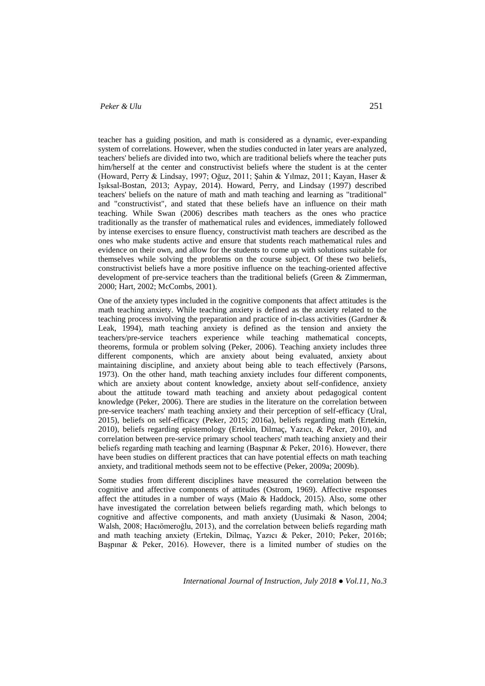teacher has a guiding position, and math is considered as a dynamic, ever-expanding system of correlations. However, when the studies conducted in later years are analyzed, teachers' beliefs are divided into two, which are traditional beliefs where the teacher puts him/herself at the center and constructivist beliefs where the student is at the center (Howard, Perry & Lindsay, 1997; Oğuz, 2011; Şahin & Yılmaz, 2011; Kayan, Haser & Işıksal-Bostan, 2013; Aypay, 2014). Howard, Perry, and Lindsay (1997) described teachers' beliefs on the nature of math and math teaching and learning as "traditional" and "constructivist", and stated that these beliefs have an influence on their math teaching. While Swan (2006) describes math teachers as the ones who practice traditionally as the transfer of mathematical rules and evidences, immediately followed by intense exercises to ensure fluency, constructivist math teachers are described as the ones who make students active and ensure that students reach mathematical rules and evidence on their own, and allow for the students to come up with solutions suitable for themselves while solving the problems on the course subject. Of these two beliefs, constructivist beliefs have a more positive influence on the teaching-oriented affective development of pre-service teachers than the traditional beliefs (Green & Zimmerman, 2000; Hart, 2002; McCombs, 2001).

One of the anxiety types included in the cognitive components that affect attitudes is the math teaching anxiety. While teaching anxiety is defined as the anxiety related to the teaching process involving the preparation and practice of in-class activities (Gardner & Leak, 1994), math teaching anxiety is defined as the tension and anxiety the teachers/pre-service teachers experience while teaching mathematical concepts, theorems, formula or problem solving (Peker, 2006). Teaching anxiety includes three different components, which are anxiety about being evaluated, anxiety about maintaining discipline, and anxiety about being able to teach effectively (Parsons, 1973). On the other hand, math teaching anxiety includes four different components, which are anxiety about content knowledge, anxiety about self-confidence, anxiety about the attitude toward math teaching and anxiety about pedagogical content knowledge (Peker, 2006). There are studies in the literature on the correlation between pre-service teachers' math teaching anxiety and their perception of self-efficacy (Ural, 2015), beliefs on self-efficacy (Peker, 2015; 2016a), beliefs regarding math (Ertekin, 2010), beliefs regarding epistemology (Ertekin, Dilmaç, Yazıcı, & Peker, 2010), and correlation between pre-service primary school teachers' math teaching anxiety and their beliefs regarding math teaching and learning (Başpınar & Peker, 2016). However, there have been studies on different practices that can have potential effects on math teaching anxiety, and traditional methods seem not to be effective (Peker, 2009a; 2009b).

Some studies from different disciplines have measured the correlation between the cognitive and affective components of attitudes (Ostrom, 1969). Affective responses affect the attitudes in a number of ways (Maio & Haddock, 2015). Also, some other have investigated the correlation between beliefs regarding math, which belongs to cognitive and affective components, and math anxiety (Uusimaki & Nason, 2004; Walsh, 2008; Hacıömeroğlu, 2013), and the correlation between beliefs regarding math and math teaching anxiety (Ertekin, Dilmaç, Yazıcı & Peker, 2010; Peker, 2016b; Başpınar & Peker, 2016). However, there is a limited number of studies on the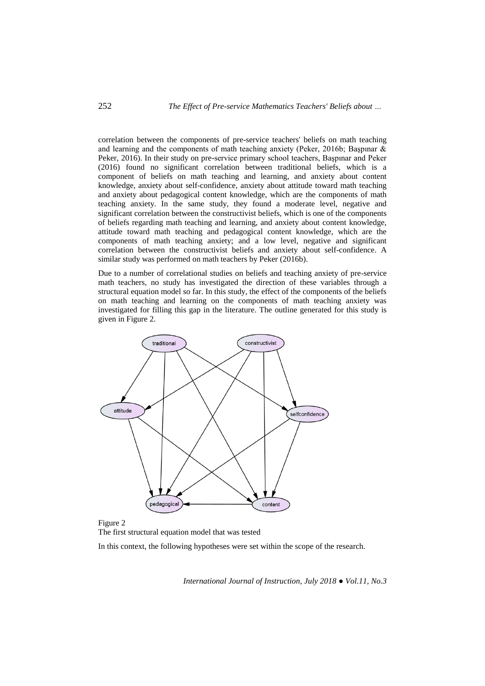correlation between the components of pre-service teachers' beliefs on math teaching and learning and the components of math teaching anxiety (Peker, 2016b; Başpınar & Peker, 2016). In their study on pre-service primary school teachers, Başpınar and Peker (2016) found no significant correlation between traditional beliefs, which is a component of beliefs on math teaching and learning, and anxiety about content knowledge, anxiety about self-confidence, anxiety about attitude toward math teaching and anxiety about pedagogical content knowledge, which are the components of math teaching anxiety. In the same study, they found a moderate level, negative and significant correlation between the constructivist beliefs, which is one of the components of beliefs regarding math teaching and learning, and anxiety about content knowledge, attitude toward math teaching and pedagogical content knowledge, which are the components of math teaching anxiety; and a low level, negative and significant correlation between the constructivist beliefs and anxiety about self-confidence. A similar study was performed on math teachers by Peker (2016b).

Due to a number of correlational studies on beliefs and teaching anxiety of pre-service math teachers, no study has investigated the direction of these variables through a structural equation model so far. In this study, the effect of the components of the beliefs on math teaching and learning on the components of math teaching anxiety was investigated for filling this gap in the literature. The outline generated for this study is given in Figure 2.



Figure 2 The first structural equation model that was tested

In this context, the following hypotheses were set within the scope of the research.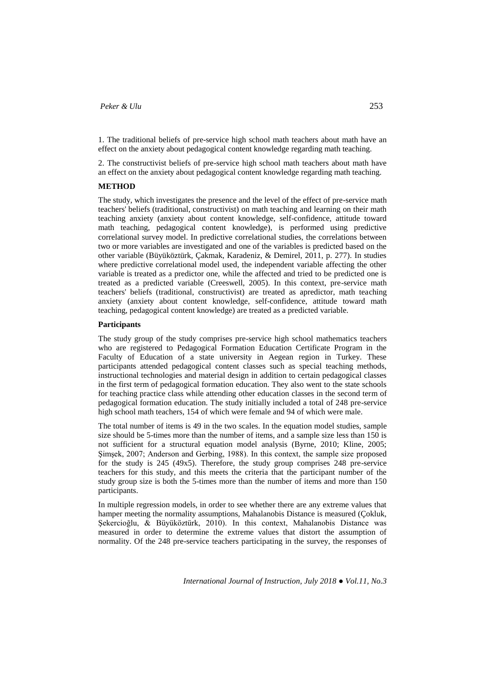1. The traditional beliefs of pre-service high school math teachers about math have an effect on the anxiety about pedagogical content knowledge regarding math teaching.

2. The constructivist beliefs of pre-service high school math teachers about math have an effect on the anxiety about pedagogical content knowledge regarding math teaching.

### **METHOD**

The study, which investigates the presence and the level of the effect of pre-service math teachers' beliefs (traditional, constructivist) on math teaching and learning on their math teaching anxiety (anxiety about content knowledge, self-confidence, attitude toward math teaching, pedagogical content knowledge), is performed using predictive correlational survey model. In predictive correlational studies, the correlations between two or more variables are investigated and one of the variables is predicted based on the other variable (Büyüköztürk, Çakmak, Karadeniz, & Demirel, 2011, p. 277). In studies where predictive correlational model used, the independent variable affecting the other variable is treated as a predictor one, while the affected and tried to be predicted one is treated as a predicted variable (Creeswell, 2005). In this context, pre-service math teachers' beliefs (traditional, constructivist) are treated as apredictor, math teaching anxiety (anxiety about content knowledge, self-confidence, attitude toward math teaching, pedagogical content knowledge) are treated as a predicted variable.

## **Participants**

The study group of the study comprises pre-service high school mathematics teachers who are registered to Pedagogical Formation Education Certificate Program in the Faculty of Education of a state university in Aegean region in Turkey. These participants attended pedagogical content classes such as special teaching methods, instructional technologies and material design in addition to certain pedagogical classes in the first term of pedagogical formation education. They also went to the state schools for teaching practice class while attending other education classes in the second term of pedagogical formation education. The study initially included a total of 248 pre-service high school math teachers, 154 of which were female and 94 of which were male.

The total number of items is 49 in the two scales. In the equation model studies, sample size should be 5-times more than the number of items, and a sample size less than 150 is not sufficient for a structural equation model analysis (Byrne, 2010; Kline, 2005; Şimşek, 2007; Anderson and Gerbing, 1988). In this context, the sample size proposed for the study is 245 (49x5). Therefore, the study group comprises 248 pre-service teachers for this study, and this meets the criteria that the participant number of the study group size is both the 5-times more than the number of items and more than 150 participants.

In multiple regression models, in order to see whether there are any extreme values that hamper meeting the normality assumptions, Mahalanobis Distance is measured (Çokluk, Şekercioğlu, & Büyüköztürk, 2010). In this context, Mahalanobis Distance was measured in order to determine the extreme values that distort the assumption of normality. Of the 248 pre-service teachers participating in the survey, the responses of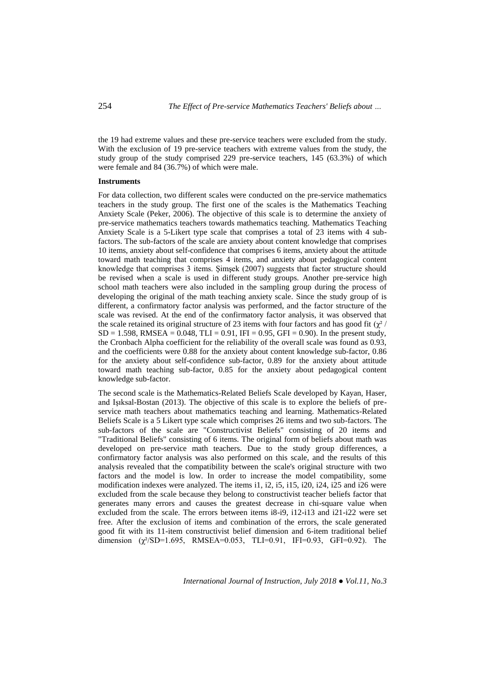the 19 had extreme values and these pre-service teachers were excluded from the study. With the exclusion of 19 pre-service teachers with extreme values from the study, the study group of the study comprised 229 pre-service teachers, 145 (63.3%) of which were female and 84 (36.7%) of which were male.

#### **Instruments**

For data collection, two different scales were conducted on the pre-service mathematics teachers in the study group. The first one of the scales is the Mathematics Teaching Anxiety Scale (Peker, 2006). The objective of this scale is to determine the anxiety of pre-service mathematics teachers towards mathematics teaching. Mathematics Teaching Anxiety Scale is a 5-Likert type scale that comprises a total of 23 items with 4 subfactors. The sub-factors of the scale are anxiety about content knowledge that comprises 10 items, anxiety about self-confidence that comprises 6 items, anxiety about the attitude toward math teaching that comprises 4 items, and anxiety about pedagogical content knowledge that comprises 3 items. Şimşek (2007) suggests that factor structure should be revised when a scale is used in different study groups. Another pre-service high school math teachers were also included in the sampling group during the process of developing the original of the math teaching anxiety scale. Since the study group of is different, a confirmatory factor analysis was performed, and the factor structure of the scale was revised. At the end of the confirmatory factor analysis, it was observed that the scale retained its original structure of 23 items with four factors and has good fit ( $\chi^2$  /  $SD = 1.598$ , RMSEA = 0.048, TLI = 0.91, IFI = 0.95, GFI = 0.90). In the present study, the Cronbach Alpha coefficient for the reliability of the overall scale was found as 0.93, and the coefficients were 0.88 for the anxiety about content knowledge sub-factor, 0.86 for the anxiety about self-confidence sub-factor, 0.89 for the anxiety about attitude toward math teaching sub-factor, 0.85 for the anxiety about pedagogical content knowledge sub-factor.

The second scale is the Mathematics-Related Beliefs Scale developed by Kayan, Haser, and Işıksal-Bostan (2013). The objective of this scale is to explore the beliefs of preservice math teachers about mathematics teaching and learning. Mathematics-Related Beliefs Scale is a 5 Likert type scale which comprises 26 items and two sub-factors. The sub-factors of the scale are "Constructivist Beliefs" consisting of 20 items and "Traditional Beliefs" consisting of 6 items. The original form of beliefs about math was developed on pre-service math teachers. Due to the study group differences, a confirmatory factor analysis was also performed on this scale, and the results of this analysis revealed that the compatibility between the scale's original structure with two factors and the model is low. In order to increase the model compatibility, some modification indexes were analyzed. The items i1, i2, i5, i15, i20, i24, i25 and i26 were excluded from the scale because they belong to constructivist teacher beliefs factor that generates many errors and causes the greatest decrease in chi-square value when excluded from the scale. The errors between items i8-i9, i12-i13 and i21-i22 were set free. After the exclusion of items and combination of the errors, the scale generated good fit with its 11-item constructivist belief dimension and 6-item traditional belief dimension  $(\chi^2/SD=1.695, RMSEA=0.053, TLI=0.91, IFI=0.93, GFI=0.92).$  The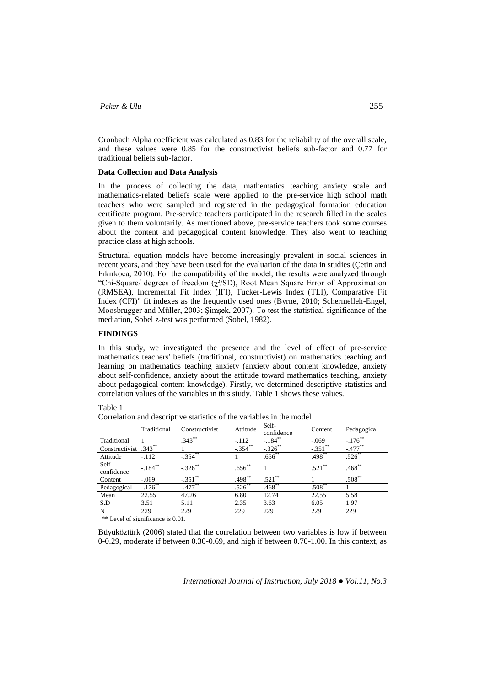Cronbach Alpha coefficient was calculated as 0.83 for the reliability of the overall scale, and these values were 0.85 for the constructivist beliefs sub-factor and 0.77 for traditional beliefs sub-factor.

#### **Data Collection and Data Analysis**

In the process of collecting the data, mathematics teaching anxiety scale and mathematics-related beliefs scale were applied to the pre-service high school math teachers who were sampled and registered in the pedagogical formation education certificate program. Pre-service teachers participated in the research filled in the scales given to them voluntarily. As mentioned above, pre-service teachers took some courses about the content and pedagogical content knowledge. They also went to teaching practice class at high schools.

Structural equation models have become increasingly prevalent in social sciences in recent years, and they have been used for the evaluation of the data in studies (Çetin and Fıkırkoca, 2010). For the compatibility of the model, the results were analyzed through "Chi-Square/ degrees of freedom  $(\chi^2/SD)$ , Root Mean Square Error of Approximation (RMSEA), Incremental Fit Index (IFI), Tucker-Lewis Index (TLI), Comparative Fit Index (CFI)" fit indexes as the frequently used ones (Byrne, 2010; Schermelleh-Engel, Moosbrugger and Müller, 2003; Şimşek, 2007). To test the statistical significance of the mediation, Sobel z-test was performed (Sobel, 1982).

## **FINDINGS**

In this study, we investigated the presence and the level of effect of pre-service mathematics teachers' beliefs (traditional, constructivist) on mathematics teaching and learning on mathematics teaching anxiety (anxiety about content knowledge, anxiety about self-confidence, anxiety about the attitude toward mathematics teaching, anxiety about pedagogical content knowledge). Firstly, we determined descriptive statistics and correlation values of the variables in this study. Table 1 shows these values.

|                                     | Traditional | Constructivist | Attitude  | Self-<br>confidence | Content               | Pedagogical           |  |
|-------------------------------------|-------------|----------------|-----------|---------------------|-----------------------|-----------------------|--|
| Traditional                         |             | $.343***$      | $-.112$   | $-.184***$          | $-.069$               | $-.176$               |  |
| Constructivist $.343$ <sup>**</sup> |             |                | $-.354$   | $-.326$             | $-.351$ <sup>**</sup> | $-.477$ <sup>**</sup> |  |
| Attitude                            | $-.112$     | $-.354**$      |           | $.656**$            | $.498**$              | $.526^{**}$           |  |
| Self<br>confidence                  | $-.184***$  | $-.326***$     | $.656***$ |                     | $.521***$             | $.468***$             |  |
| Content                             | $-.069$     | $-0.351$       | 498       | .521                |                       | $.508***$             |  |
| Pedagogical                         | $-.176$ **  | $-.477***$     | $.526***$ | $.468**$            | $.508**$              |                       |  |
| Mean                                | 22.55       | 47.26          | 6.80      | 12.74               | 22.55                 | 5.58                  |  |
| S.D                                 | 3.51        | 5.11           | 2.35      | 3.63                | 6.05                  | 1.97                  |  |
| N                                   | 229         | 229            | 229       | 229                 | 229                   | 229                   |  |
|                                     |             |                |           |                     |                       |                       |  |

Table 1

\*\* Level of significance is 0.01.

Büyüköztürk (2006) stated that the correlation between two variables is low if between 0-0.29, moderate if between 0.30-0.69, and high if between 0.70-1.00. In this context, as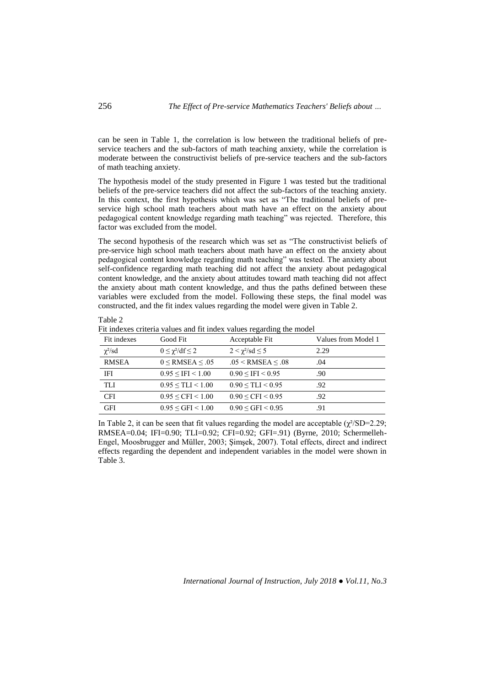can be seen in Table 1, the correlation is low between the traditional beliefs of preservice teachers and the sub-factors of math teaching anxiety, while the correlation is moderate between the constructivist beliefs of pre-service teachers and the sub-factors of math teaching anxiety.

The hypothesis model of the study presented in Figure 1 was tested but the traditional beliefs of the pre-service teachers did not affect the sub-factors of the teaching anxiety. In this context, the first hypothesis which was set as "The traditional beliefs of preservice high school math teachers about math have an effect on the anxiety about pedagogical content knowledge regarding math teaching" was rejected. Therefore, this factor was excluded from the model.

The second hypothesis of the research which was set as "The constructivist beliefs of pre-service high school math teachers about math have an effect on the anxiety about pedagogical content knowledge regarding math teaching" was tested. The anxiety about self-confidence regarding math teaching did not affect the anxiety about pedagogical content knowledge, and the anxiety about attitudes toward math teaching did not affect the anxiety about math content knowledge, and thus the paths defined between these variables were excluded from the model. Following these steps, the final model was constructed, and the fit index values regarding the model were given in Table 2.

Fit indexes criteria values and fit index values regarding the model

| Fit indexes          | Good Fit                             | Acceptable Fit                  | Values from Model 1 |
|----------------------|--------------------------------------|---------------------------------|---------------------|
| $\chi^2/\mathrm{sd}$ | $0 \leq \gamma^2/\mathrm{df} \leq 2$ | $2 < \gamma^2/\text{sd} \leq 5$ | 2.29                |
| <b>RMSEA</b>         | $0 \leq$ RMSEA $\leq .05$            | $.05 <$ RMSEA $< .08$           | .04                 |
| <b>IFI</b>           | $0.95 \leq IFI \leq 1.00$            | $0.90 \leq IFI \leq 0.95$       | .90                 |
| TLI                  | $0.95 \leq TLI \leq 1.00$            | $0.90 \leq TLI \leq 0.95$       | .92                 |
| <b>CFI</b>           | $0.95 \leq CFI \leq 1.00$            | $0.90 \leq CFI \leq 0.95$       | .92                 |
| <b>GFI</b>           | $0.95 \leq GFI \leq 1.00$            | $0.90 \leq GFI \leq 0.95$       | .91                 |

In Table 2, it can be seen that fit values regarding the model are acceptable  $(\chi^2/\text{SD}=2.29)$ ; RMSEA=0.04; IFI=0.90; TLI=0.92; CFI=0.92; GFI=.91) (Byrne, 2010; Schermelleh-Engel, Moosbrugger and Müller, 2003; Şimşek, 2007). Total effects, direct and indirect effects regarding the dependent and independent variables in the model were shown in Table 3.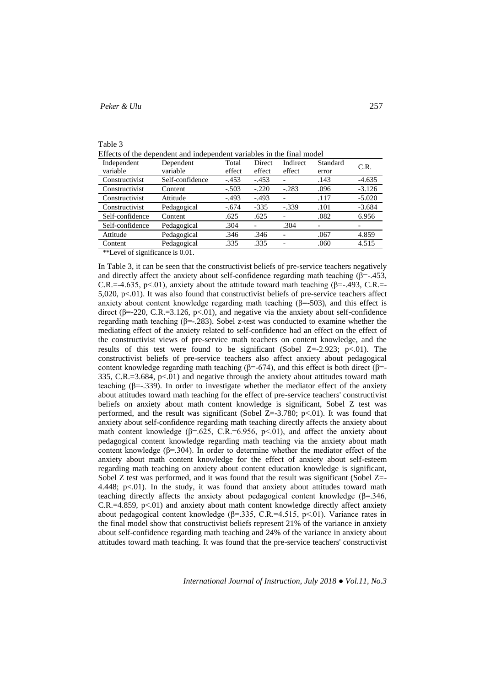| anie |  |
|------|--|
|      |  |

Effects of the dependent and independent variables in the final model

| Independent     | Dependent       | Total   | Direct  | Indirect | Standard | C.R.     |
|-----------------|-----------------|---------|---------|----------|----------|----------|
| variable        | variable        | effect  | effect  | effect   | error    |          |
| Constructivist  | Self-confidence | $-.453$ | $-.453$ | -        | .143     | $-4.635$ |
| Constructivist  | Content         | $-.503$ | $-.220$ | $-.283$  | .096     | $-3.126$ |
| Constructivist  | Attitude        | $-.493$ | $-.493$ | ۳        | .117     | $-5.020$ |
| Constructivist  | Pedagogical     | $-.674$ | $-335$  | $-.339$  | .101     | $-3.684$ |
| Self-confidence | Content         | .625    | .625    |          | .082     | 6.956    |
| Self-confidence | Pedagogical     | .304    |         | .304     |          |          |
| Attitude        | Pedagogical     | .346    | .346    |          | .067     | 4.859    |
| Content         | Pedagogical     | .335    | .335    | -        | .060     | 4.515    |
|                 |                 |         |         |          |          |          |

\*\*Level of significance is 0.01.

In Table 3, it can be seen that the constructivist beliefs of pre-service teachers negatively and directly affect the anxiety about self-confidence regarding math teaching  $(\beta = -1.453)$ , C.R.=-4.635, p<.01), anxiety about the attitude toward math teaching ( $\beta$ =-.493, C.R.=- $5,020, p<01$ ). It was also found that constructivist beliefs of pre-service teachers affect anxiety about content knowledge regarding math teaching  $(\beta = 503)$ , and this effect is direct (β=-220, C.R.=3.126, p<.01), and negative via the anxiety about self-confidence regarding math teaching (β=-.283). Sobel z-test was conducted to examine whether the mediating effect of the anxiety related to self-confidence had an effect on the effect of the constructivist views of pre-service math teachers on content knowledge, and the results of this test were found to be significant (Sobel  $Z=-2.923$ ; p<.01). The constructivist beliefs of pre-service teachers also affect anxiety about pedagogical content knowledge regarding math teaching (β=-674), and this effect is both direct (β=-335, C.R.=3.684, p<.01) and negative through the anxiety about attitudes toward math teaching (β=-.339). In order to investigate whether the mediator effect of the anxiety about attitudes toward math teaching for the effect of pre-service teachers' constructivist beliefs on anxiety about math content knowledge is significant, Sobel Z test was performed, and the result was significant (Sobel  $Z=-3.780$ ; p $<01$ ). It was found that anxiety about self-confidence regarding math teaching directly affects the anxiety about math content knowledge ( $\beta$ =.625, C.R.=6.956, p<.01), and affect the anxiety about pedagogical content knowledge regarding math teaching via the anxiety about math content knowledge ( $\beta$ =.304). In order to determine whether the mediator effect of the anxiety about math content knowledge for the effect of anxiety about self-esteem regarding math teaching on anxiety about content education knowledge is significant, Sobel Z test was performed, and it was found that the result was significant (Sobel Z=-4.448; p<.01). In the study, it was found that anxiety about attitudes toward math teaching directly affects the anxiety about pedagogical content knowledge  $(\beta = 346, \beta)$ C.R.=4.859, p<.01) and anxiety about math content knowledge directly affect anxiety about pedagogical content knowledge ( $\beta$ =.335, C.R.=4.515, p<.01). Variance rates in the final model show that constructivist beliefs represent 21% of the variance in anxiety about self-confidence regarding math teaching and 24% of the variance in anxiety about attitudes toward math teaching. It was found that the pre-service teachers' constructivist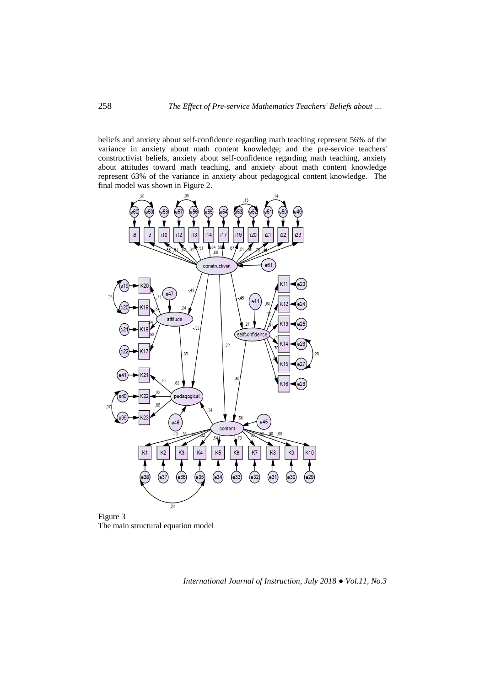beliefs and anxiety about self-confidence regarding math teaching represent 56% of the variance in anxiety about math content knowledge; and the pre-service teachers' constructivist beliefs, anxiety about self-confidence regarding math teaching, anxiety about attitudes toward math teaching, and anxiety about math content knowledge represent 63% of the variance in anxiety about pedagogical content knowledge. The final model was shown in Figure 2.



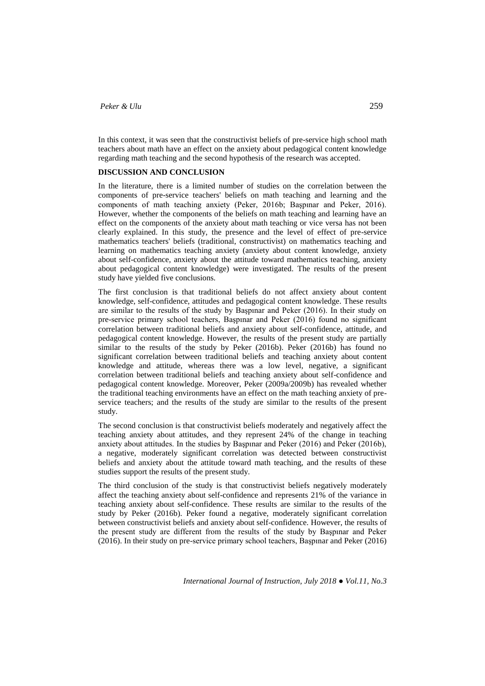In this context, it was seen that the constructivist beliefs of pre-service high school math teachers about math have an effect on the anxiety about pedagogical content knowledge regarding math teaching and the second hypothesis of the research was accepted.

### **DISCUSSION AND CONCLUSION**

In the literature, there is a limited number of studies on the correlation between the components of pre-service teachers' beliefs on math teaching and learning and the components of math teaching anxiety (Peker, 2016b; Başpınar and Peker, 2016). However, whether the components of the beliefs on math teaching and learning have an effect on the components of the anxiety about math teaching or vice versa has not been clearly explained. In this study, the presence and the level of effect of pre-service mathematics teachers' beliefs (traditional, constructivist) on mathematics teaching and learning on mathematics teaching anxiety (anxiety about content knowledge, anxiety about self-confidence, anxiety about the attitude toward mathematics teaching, anxiety about pedagogical content knowledge) were investigated. The results of the present study have yielded five conclusions.

The first conclusion is that traditional beliefs do not affect anxiety about content knowledge, self-confidence, attitudes and pedagogical content knowledge. These results are similar to the results of the study by Başpınar and Peker (2016). In their study on pre-service primary school teachers, Başpınar and Peker (2016) found no significant correlation between traditional beliefs and anxiety about self-confidence, attitude, and pedagogical content knowledge. However, the results of the present study are partially similar to the results of the study by Peker (2016b). Peker (2016b) has found no significant correlation between traditional beliefs and teaching anxiety about content knowledge and attitude, whereas there was a low level, negative, a significant correlation between traditional beliefs and teaching anxiety about self-confidence and pedagogical content knowledge. Moreover, Peker (2009a/2009b) has revealed whether the traditional teaching environments have an effect on the math teaching anxiety of preservice teachers; and the results of the study are similar to the results of the present study.

The second conclusion is that constructivist beliefs moderately and negatively affect the teaching anxiety about attitudes, and they represent 24% of the change in teaching anxiety about attitudes. In the studies by Başpınar and Peker (2016) and Peker (2016b), a negative, moderately significant correlation was detected between constructivist beliefs and anxiety about the attitude toward math teaching, and the results of these studies support the results of the present study.

The third conclusion of the study is that constructivist beliefs negatively moderately affect the teaching anxiety about self-confidence and represents 21% of the variance in teaching anxiety about self-confidence. These results are similar to the results of the study by Peker (2016b). Peker found a negative, moderately significant correlation between constructivist beliefs and anxiety about self-confidence. However, the results of the present study are different from the results of the study by Başpınar and Peker (2016). In their study on pre-service primary school teachers, Başpınar and Peker (2016)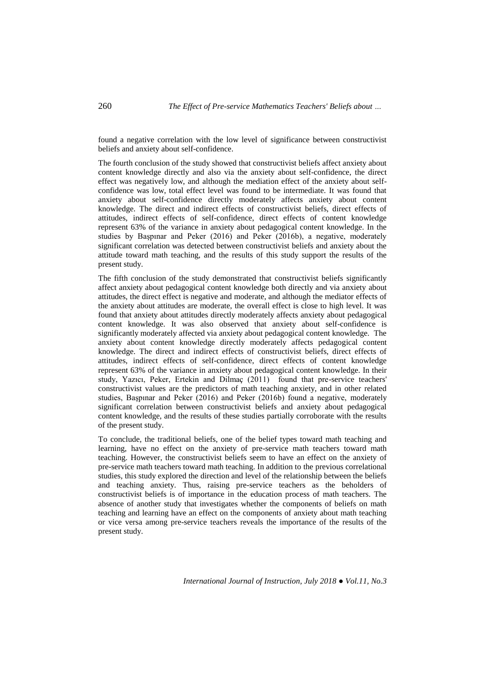found a negative correlation with the low level of significance between constructivist beliefs and anxiety about self-confidence.

The fourth conclusion of the study showed that constructivist beliefs affect anxiety about content knowledge directly and also via the anxiety about self-confidence, the direct effect was negatively low, and although the mediation effect of the anxiety about selfconfidence was low, total effect level was found to be intermediate. It was found that anxiety about self-confidence directly moderately affects anxiety about content knowledge. The direct and indirect effects of constructivist beliefs, direct effects of attitudes, indirect effects of self-confidence, direct effects of content knowledge represent 63% of the variance in anxiety about pedagogical content knowledge. In the studies by Başpınar and Peker (2016) and Peker (2016b), a negative, moderately significant correlation was detected between constructivist beliefs and anxiety about the attitude toward math teaching, and the results of this study support the results of the present study.

The fifth conclusion of the study demonstrated that constructivist beliefs significantly affect anxiety about pedagogical content knowledge both directly and via anxiety about attitudes, the direct effect is negative and moderate, and although the mediator effects of the anxiety about attitudes are moderate, the overall effect is close to high level. It was found that anxiety about attitudes directly moderately affects anxiety about pedagogical content knowledge. It was also observed that anxiety about self-confidence is significantly moderately affected via anxiety about pedagogical content knowledge. The anxiety about content knowledge directly moderately affects pedagogical content knowledge. The direct and indirect effects of constructivist beliefs, direct effects of attitudes, indirect effects of self-confidence, direct effects of content knowledge represent 63% of the variance in anxiety about pedagogical content knowledge. In their study, Yazıcı, Peker, Ertekin and Dilmaç (2011) found that pre-service teachers' constructivist values are the predictors of math teaching anxiety, and in other related studies, Başpınar and Peker (2016) and Peker (2016b) found a negative, moderately significant correlation between constructivist beliefs and anxiety about pedagogical content knowledge, and the results of these studies partially corroborate with the results of the present study.

To conclude, the traditional beliefs, one of the belief types toward math teaching and learning, have no effect on the anxiety of pre-service math teachers toward math teaching. However, the constructivist beliefs seem to have an effect on the anxiety of pre-service math teachers toward math teaching. In addition to the previous correlational studies, this study explored the direction and level of the relationship between the beliefs and teaching anxiety. Thus, raising pre-service teachers as the beholders of constructivist beliefs is of importance in the education process of math teachers. The absence of another study that investigates whether the components of beliefs on math teaching and learning have an effect on the components of anxiety about math teaching or vice versa among pre-service teachers reveals the importance of the results of the present study.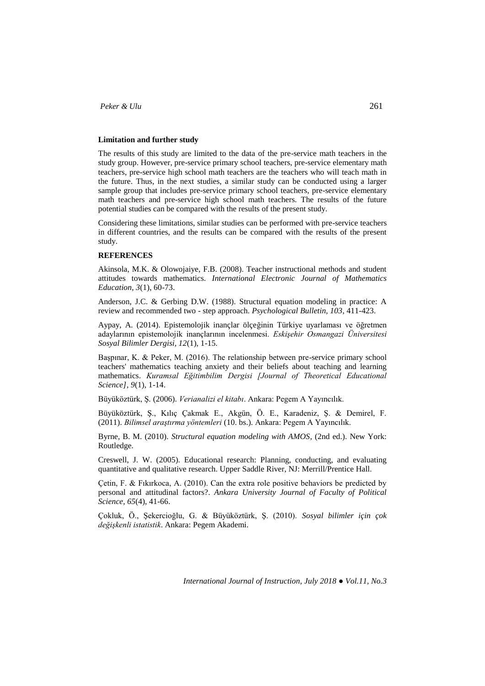### **Limitation and further study**

The results of this study are limited to the data of the pre-service math teachers in the study group. However, pre-service primary school teachers, pre-service elementary math teachers, pre-service high school math teachers are the teachers who will teach math in the future. Thus, in the next studies, a similar study can be conducted using a larger sample group that includes pre-service primary school teachers, pre-service elementary math teachers and pre-service high school math teachers. The results of the future potential studies can be compared with the results of the present study.

Considering these limitations, similar studies can be performed with pre-service teachers in different countries, and the results can be compared with the results of the present study.

#### **REFERENCES**

Akinsola, M.K. & Olowojaiye, F.B. (2008). Teacher instructional methods and student attitudes towards mathematics. *International Electronic Journal of Mathematics Education, 3*(1), 60-73.

Anderson, J.C. & Gerbing D.W. (1988). Structural equation modeling in practice: A review and recommended two - step approach. *Psychological Bulletin, 103*, 411-423.

Aypay, A. (2014). Epistemolojik inançlar ölçeğinin Türkiye uyarlaması ve öğretmen adaylarının epistemolojik inançlarının incelenmesi. *Eskişehir Osmangazi Üniversitesi Sosyal Bilimler Dergisi, 12*(1), 1-15.

Başpınar, K. & Peker, M. (2016). The relationship between pre-service primary school teachers' mathematics teaching anxiety and their beliefs about teaching and learning mathematics. *Kuramsal Eğitimbilim Dergisi [Journal of Theoretical Educational Science], 9*(1), 1-14.

Büyüköztürk, Ş*.* (2006). *Verianalizi el kitabı*. Ankara: Pegem A Yayıncılık.

Büyüköztürk, Ş., Kılıç Çakmak E., Akgün, Ö. E., Karadeniz, Ş. & Demirel, F. (2011). *Bilimsel araştırma yöntemleri* (10. bs.). Ankara: Pegem A Yayıncılık.

Byrne, B. M. (2010). *Structural equation modeling with AMOS*, (2nd ed.). New York: Routledge.

Creswell, J. W. (2005). Educational research: Planning, conducting, and evaluating quantitative and qualitative research. Upper Saddle River, NJ: Merrill/Prentice Hall.

Çetin, F. & Fıkırkoca, A. (2010). Can the extra role positive behaviors be predicted by personal and attitudinal factors?. *Ankara University Journal of Faculty of Political Science, 65*(4), 41-66.

Çokluk, Ö., Şekercioğlu, G. & Büyüköztürk, Ş. (2010). *Sosyal bilimler için çok değişkenli istatistik*. Ankara: Pegem Akademi.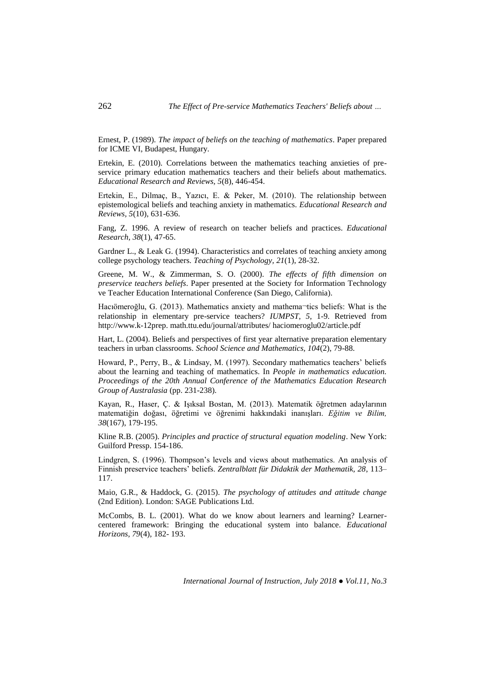Ernest, P. (1989). *The impact of beliefs on the teaching of mathematics*. Paper prepared for ICME VI, Budapest, Hungary.

Ertekin, E. (2010). Correlations between the mathematics teaching anxieties of preservice primary education mathematics teachers and their beliefs about mathematics. *Educational Research and Reviews, 5*(8), 446-454.

Ertekin, E., Dilmaç, B., Yazıcı, E. & Peker, M. (2010). The relationship between epistemological beliefs and teaching anxiety in mathematics. *Educational Research and Reviews, 5*(10), 631-636.

Fang, Z. 1996. A review of research on teacher beliefs and practices. *Educational Research, 38*(1), 47-65.

Gardner L., & Leak G. (1994). Characteristics and correlates of teaching anxiety among college psychology teachers. *Teaching of Psychology, 21*(1), 28-32.

Greene, M. W., & Zimmerman, S. O. (2000). *The effects of fifth dimension on preservice teachers beliefs*. Paper presented at the Society for Information Technology ve Teacher Education International Conference (San Diego, California).

Hacıömeroğlu, G. (2013). Mathematics anxiety and mathema¬tics beliefs: What is the relationship in elementary pre-service teachers? *IUMPST, 5*, 1-9. Retrieved from http://www.k-12prep. math.ttu.edu/journal/attributes/ haciomeroglu02/article.pdf

Hart, L. (2004). Beliefs and perspectives of first year alternative preparation elementary teachers in urban classrooms. *School Science and Mathematics, 104*(2), 79-88.

Howard, P., Perry, B., & Lindsay, M. (1997). Secondary mathematics teachers' beliefs about the learning and teaching of mathematics. In *People in mathematics education. Proceedings of the 20th Annual Conference of the Mathematics Education Research Group of Australasia* (pp. 231-238).

Kayan, R., Haser, Ç. & Işıksal Bostan, M. (2013). Matematik öğretmen adaylarının matematiğin doğası, öğretimi ve öğrenimi hakkındaki inanışları. *Eğitim ve Bilim, 38*(167), 179-195.

Kline R.B. (2005). *Principles and practice of structural equation modeling*. New York: Guilford Pressp. 154-186.

Lindgren, S. (1996). Thompson's levels and views about mathematics. An analysis of Finnish preservice teachers' beliefs. *Zentralblatt für Didaktik der Mathematik, 28*, 113– 117.

Maio, G.R., & Haddock, G. (2015). *The psychology of attitudes and attitude change*  (2nd Edition). London: SAGE Publications Ltd.

McCombs, B. L. (2001). What do we know about learners and learning? Learnercentered framework: Bringing the educational system into balance. *Educational Horizons, 79*(4), 182- 193.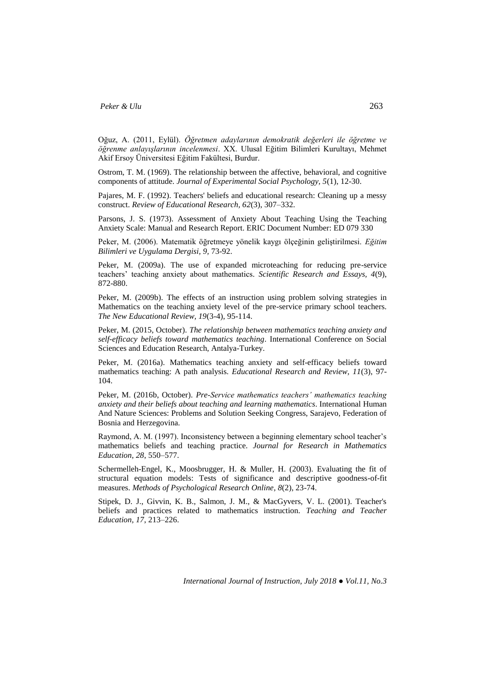Oğuz, A. (2011, Eylül). *Öğretmen adaylarının demokratik değerleri ile öğretme ve öğrenme anlayışlarının incelenmesi*. XX. Ulusal Eğitim Bilimleri Kurultayı, Mehmet Akif Ersoy Üniversitesi Eğitim Fakültesi, Burdur.

Ostrom, T. M. (1969). The relationship between the affective, behavioral, and cognitive components of attitude. *Journal of Experimental Social Psychology, 5*(1), 12-30.

Pajares, M. F. (1992). Teachers' beliefs and educational research: Cleaning up a messy construct. *Review of Educational Research, 62*(3), 307–332.

Parsons, J. S. (1973). Assessment of Anxiety About Teaching Using the Teaching Anxiety Scale: Manual and Research Report. ERIC Document Number: ED 079 330

Peker, M. (2006). Matematik öğretmeye yönelik kaygı ölçeğinin geliştirilmesi. *Eğitim Bilimleri ve Uygulama Dergisi, 9,* 73-92.

Peker, M. (2009a). The use of expanded microteaching for reducing pre-service teachers' teaching anxiety about mathematics. *Scientific Research and Essays, 4*(9), 872-880.

Peker, M. (2009b). The effects of an instruction using problem solving strategies in Mathematics on the teaching anxiety level of the pre-service primary school teachers. *The New Educational Review, 19*(3-4), 95-114.

Peker, M. (2015, October). *The relationship between mathematics teaching anxiety and self-efficacy beliefs toward mathematics teaching*. International Conference on Social Sciences and Education Research, Antalya-Turkey.

Peker, M. (2016a). Mathematics teaching anxiety and self-efficacy beliefs toward mathematics teaching: A path analysis. *Educational Research and Review, 11*(3), 97- 104.

Peker, M. (2016b, October). *Pre-Service mathematics teachers' mathematics teaching anxiety and their beliefs about teaching and learning mathematics*. International Human And Nature Sciences: Problems and Solution Seeking Congress, Sarajevo, Federation of Bosnia and Herzegovina.

Raymond, A. M. (1997). Inconsistency between a beginning elementary school teacher's mathematics beliefs and teaching practice. *Journal for Research in Mathematics Education, 28*, 550–577.

Schermelleh-Engel, K., Moosbrugger, H. & Muller, H. (2003). Evaluating the fit of structural equation models: Tests of significance and descriptive goodness-of-fit measures. *Methods of Psychological Research Online*, *8*(2), 23-74.

Stipek, D. J., Givvin, K. B., Salmon, J. M., & MacGyvers, V. L. (2001). Teacher's beliefs and practices related to mathematics instruction. *Teaching and Teacher Education, 17*, 213–226.